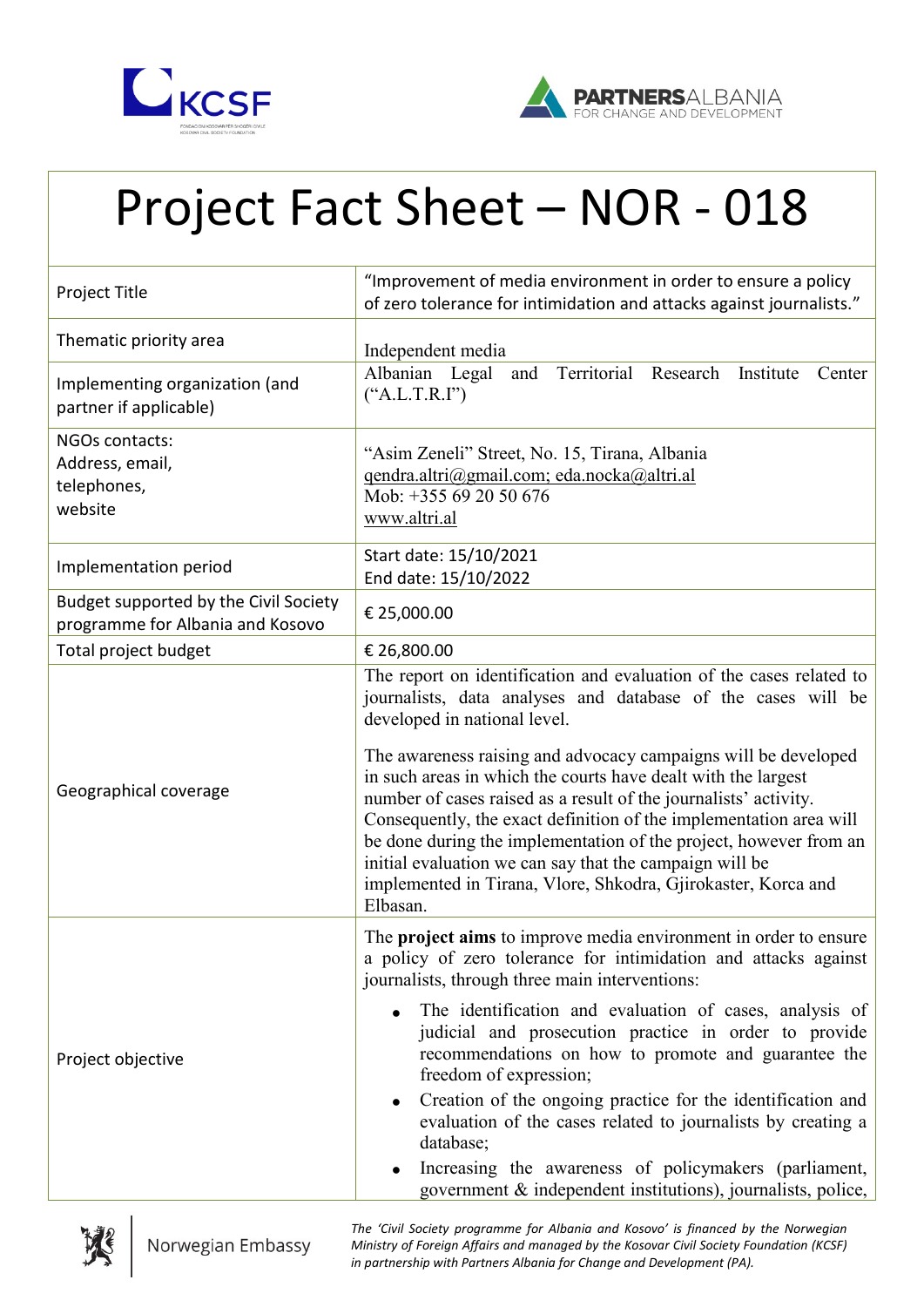



## Project Fact Sheet – NOR - 018

| Project Title                                                             | "Improvement of media environment in order to ensure a policy<br>of zero tolerance for intimidation and attacks against journalists."                                                                                                                                                                                                                                                                                                                                                                                                                                                                                                                                  |
|---------------------------------------------------------------------------|------------------------------------------------------------------------------------------------------------------------------------------------------------------------------------------------------------------------------------------------------------------------------------------------------------------------------------------------------------------------------------------------------------------------------------------------------------------------------------------------------------------------------------------------------------------------------------------------------------------------------------------------------------------------|
| Thematic priority area                                                    | Independent media                                                                                                                                                                                                                                                                                                                                                                                                                                                                                                                                                                                                                                                      |
| Implementing organization (and<br>partner if applicable)                  | Albanian Legal<br>Territorial Research Institute<br>and<br>Center<br>("A.L.T.R.I")                                                                                                                                                                                                                                                                                                                                                                                                                                                                                                                                                                                     |
| NGOs contacts:<br>Address, email,<br>telephones,<br>website               | "Asim Zeneli" Street, No. 15, Tirana, Albania<br>qendra.altri@gmail.com; eda.nocka@altri.al<br>Mob: +355 69 20 50 676<br>www.altri.al                                                                                                                                                                                                                                                                                                                                                                                                                                                                                                                                  |
| Implementation period                                                     | Start date: 15/10/2021<br>End date: 15/10/2022                                                                                                                                                                                                                                                                                                                                                                                                                                                                                                                                                                                                                         |
| Budget supported by the Civil Society<br>programme for Albania and Kosovo | € 25,000.00                                                                                                                                                                                                                                                                                                                                                                                                                                                                                                                                                                                                                                                            |
| Total project budget                                                      | € 26,800.00                                                                                                                                                                                                                                                                                                                                                                                                                                                                                                                                                                                                                                                            |
| Geographical coverage                                                     | The report on identification and evaluation of the cases related to<br>journalists, data analyses and database of the cases will be<br>developed in national level.<br>The awareness raising and advocacy campaigns will be developed<br>in such areas in which the courts have dealt with the largest<br>number of cases raised as a result of the journalists' activity.<br>Consequently, the exact definition of the implementation area will<br>be done during the implementation of the project, however from an<br>initial evaluation we can say that the campaign will be<br>implemented in Tirana, Vlore, Shkodra, Gjirokaster, Korca and<br>Elbasan.          |
| Project objective                                                         | The <b>project aims</b> to improve media environment in order to ensure<br>a policy of zero tolerance for intimidation and attacks against<br>journalists, through three main interventions:<br>The identification and evaluation of cases, analysis of<br>judicial and prosecution practice in order to provide<br>recommendations on how to promote and guarantee the<br>freedom of expression;<br>Creation of the ongoing practice for the identification and<br>evaluation of the cases related to journalists by creating a<br>database;<br>Increasing the awareness of policymakers (parliament,<br>government & independent institutions), journalists, police, |



*The 'Civil Society programme for Albania and Kosovo' is financed by the Norwegian Ministry of Foreign Affairs and managed by the Kosovar Civil Society Foundation (KCSF) in partnership with Partners Albania for Change and Development (PA).*